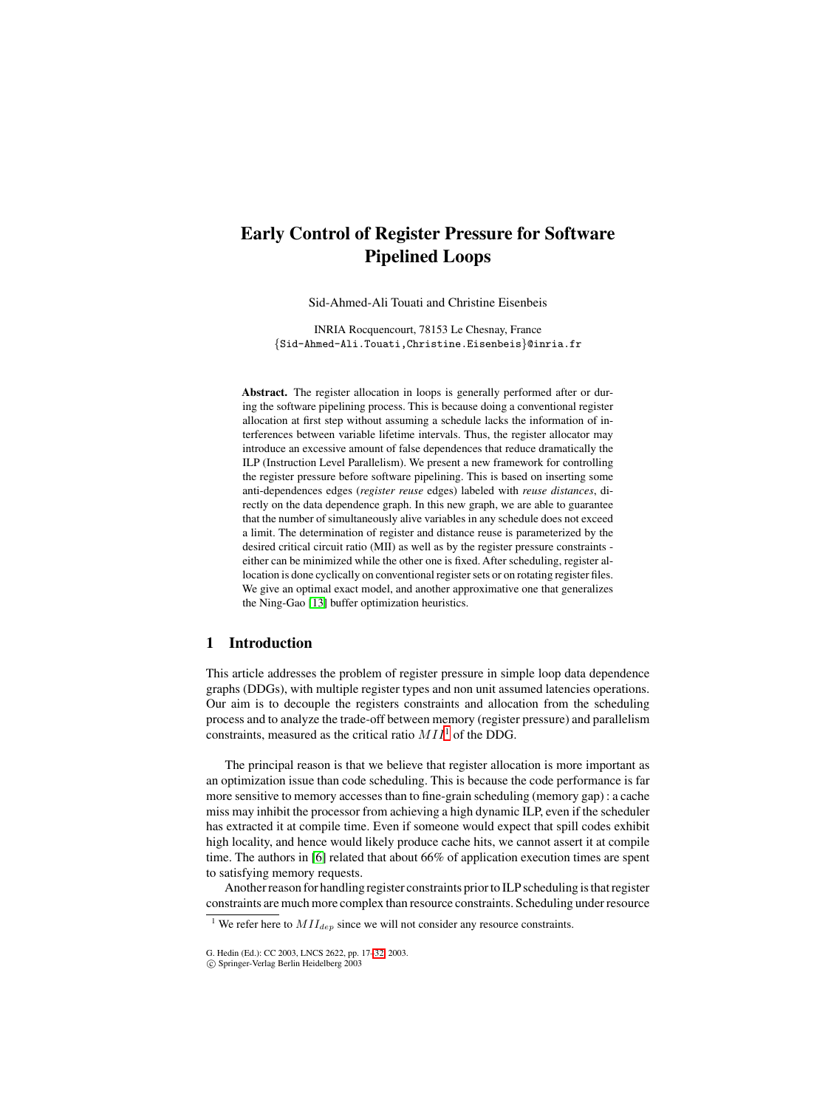# **Early Control of Register Pressure for Software Pipelined Loops**

Sid-Ahmed-Ali Touati and Christine Eisenbeis

INRIA Rocquencourt, 78153 Le Chesnay, France {Sid-Ahmed-Ali.Touati,Christine.Eisenbeis}@inria.fr

Abstract. The register allocation in loops is generally performed after or during the software pipelining process. This is because doing a conventional register allocation at first step without assuming a schedule lacks the information of interferences between variable lifetime intervals. Thus, the register allocator may introduce an excessive amount of false dependences that reduce dramatically the ILP (Instruction Level Parallelism). We present a new framework for controlling the register pressure before software pipelining. This is based on inserting some anti-dependences edges (*register reuse* edges) labeled with *reuse distances*, directly on the data dependence graph. In this new graph, we are able to guarantee that the number of simultaneously alive variables in any schedule does not exceed a limit. The determination of register and distance reuse is parameterized by the desired critical circuit ratio (MII) as well as by the register pressure constraints either can be minimized while the other one is fixed. After scheduling, register allocation is done cyclically on conventional register sets or on rotating register files. We give an optimal exact model, and another approximative one that generalizes the Ning-Gao [\[13\]](#page-15-0) buffer optimization heuristics.

# **1 Introduction**

This article addresses the problem of register pressure in simple loop data dependence graphs (DDGs), with multiple register types and non unit assumed latencies operations. Our aim is to decouple the registers constraints and allocation from the scheduling process and to analyze the trade-off between memory (register pressure) and parallelism constraints, measured as the critical ratio  $MII<sup>1</sup>$  of the DDG.

The principal reason is that we believe that register allocation is more important as an optimization issue than code scheduling. This is because the code performance is far more sensitive to memory accesses than to fine-grain scheduling (memory gap) : a cache miss may inhibit the processor from achieving a high dynamic ILP, even if the scheduler has extracted it at compile time. Even if someone would expect that spill codes exhibit high locality, and hence would likely produce cache hits, we cannot assert it at compile time. The authors in [\[6\]](#page-15-0) related that about 66% of application execution times are spent to satisfying memory requests.

Another reason for handling register constraints prior to ILP scheduling is that register constraints are much more complex than resource constraints. Scheduling under resource

<sup>&</sup>lt;sup>1</sup> We refer here to  $MII_{dep}$  since we will not consider any resource constraints.

G. Hedin (Ed.): CC 2003, LNCS 2622, pp. 17[–32,](#page-14-0) 2003.

c Springer-Verlag Berlin Heidelberg 2003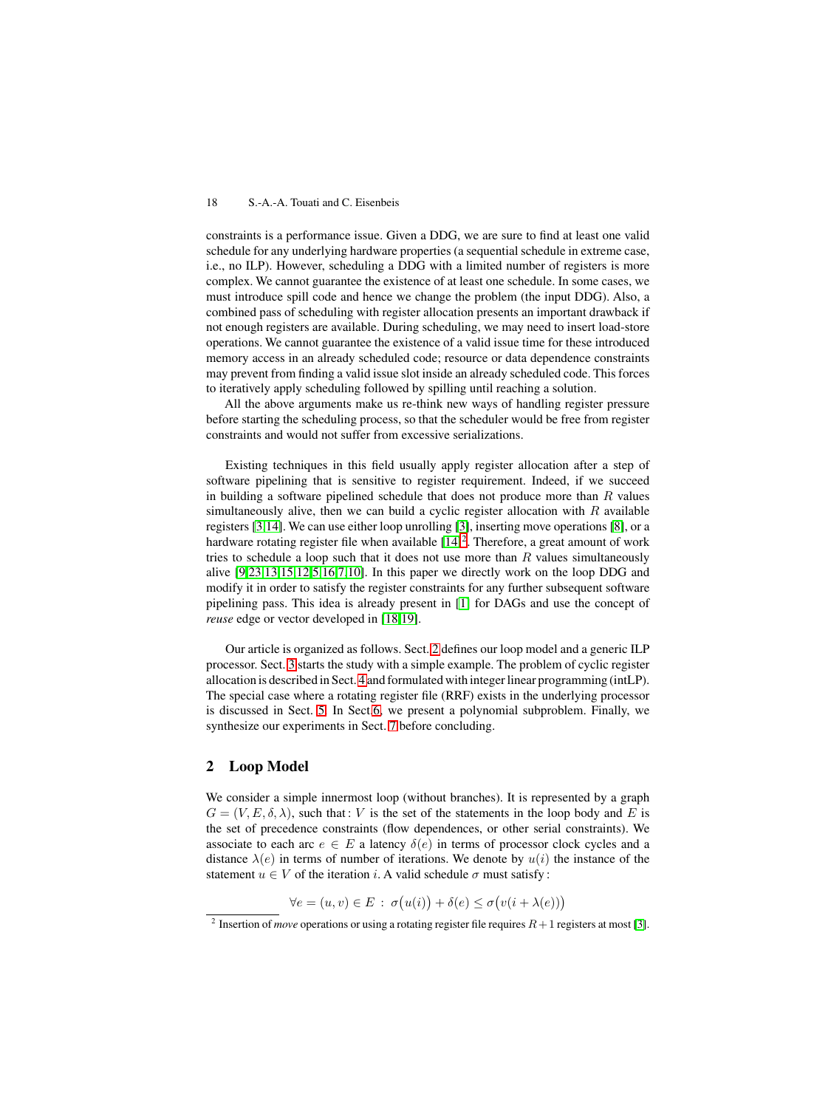constraints is a performance issue. Given a DDG, we are sure to find at least one valid schedule for any underlying hardware properties (a sequential schedule in extreme case, i.e., no ILP). However, scheduling a DDG with a limited number of registers is more complex. We cannot guarantee the existence of at least one schedule. In some cases, we must introduce spill code and hence we change the problem (the input DDG). Also, a combined pass of scheduling with register allocation presents an important drawback if not enough registers are available. During scheduling, we may need to insert load-store operations. We cannot guarantee the existence of a valid issue time for these introduced memory access in an already scheduled code; resource or data dependence constraints may prevent from finding a valid issue slot inside an already scheduled code. This forces to iteratively apply scheduling followed by spilling until reaching a solution.

All the above arguments make us re-think new ways of handling register pressure before starting the scheduling process, so that the scheduler would be free from register constraints and would not suffer from excessive serializations.

Existing techniques in this field usually apply register allocation after a step of software pipelining that is sensitive to register requirement. Indeed, if we succeed in building a software pipelined schedule that does not produce more than  $R$  values simultaneously alive, then we can build a cyclic register allocation with  $R$  available registers [\[3](#page-14-0)[,14\]](#page-15-0). We can use either loop unrolling [\[3\]](#page-14-0), inserting move operations [\[8\]](#page-15-0), or a hardware rotating register file when available  $[14]<sup>2</sup>$  $[14]<sup>2</sup>$ . Therefore, a great amount of work tries to schedule a loop such that it does not use more than  $R$  values simultaneously alive [\[9,23,13,15,12,](#page-15-0)[5,](#page-14-0)[16,7,10\]](#page-15-0). In this paper we directly work on the loop DDG and modify it in order to satisfy the register constraints for any further subsequent software pipelining pass. This idea is already present in [\[1\]](#page-14-0) for DAGs and use the concept of *reuse* edge or vector developed in [\[18,19\]](#page-15-0).

Our article is organized as follows. Sect. 2 defines our loop model and a generic ILP processor. Sect. [3](#page-2-0) starts the study with a simple example. The problem of cyclic register allocation is described in Sect. [4](#page-4-0) and formulated with integer linear programming (intLP). The special case where a rotating register file (RRF) exists in the underlying processor is discussed in Sect. [5.](#page-8-0) In Sect[.6,](#page-9-0) we present a polynomial subproblem. Finally, we synthesize our experiments in Sect. [7](#page-11-0) before concluding.

# **2 Loop Model**

We consider a simple innermost loop (without branches). It is represented by a graph  $G = (V, E, \delta, \lambda)$ , such that : V is the set of the statements in the loop body and E is the set of precedence constraints (flow dependences, or other serial constraints). We associate to each arc  $e \in E$  a latency  $\delta(e)$  in terms of processor clock cycles and a distance  $\lambda(e)$  in terms of number of iterations. We denote by  $u(i)$  the instance of the statement  $u \in V$  of the iteration i. A valid schedule  $\sigma$  must satisfy:

 $\forall e = (u, v) \in E : \sigma(u(i)) + \delta(e) \leq \sigma(v(i + \lambda(e)))$ 

<sup>&</sup>lt;sup>2</sup> Insertion of *move* operations or using a rotating register file requires  $R+1$  registers at most [\[3\]](#page-14-0).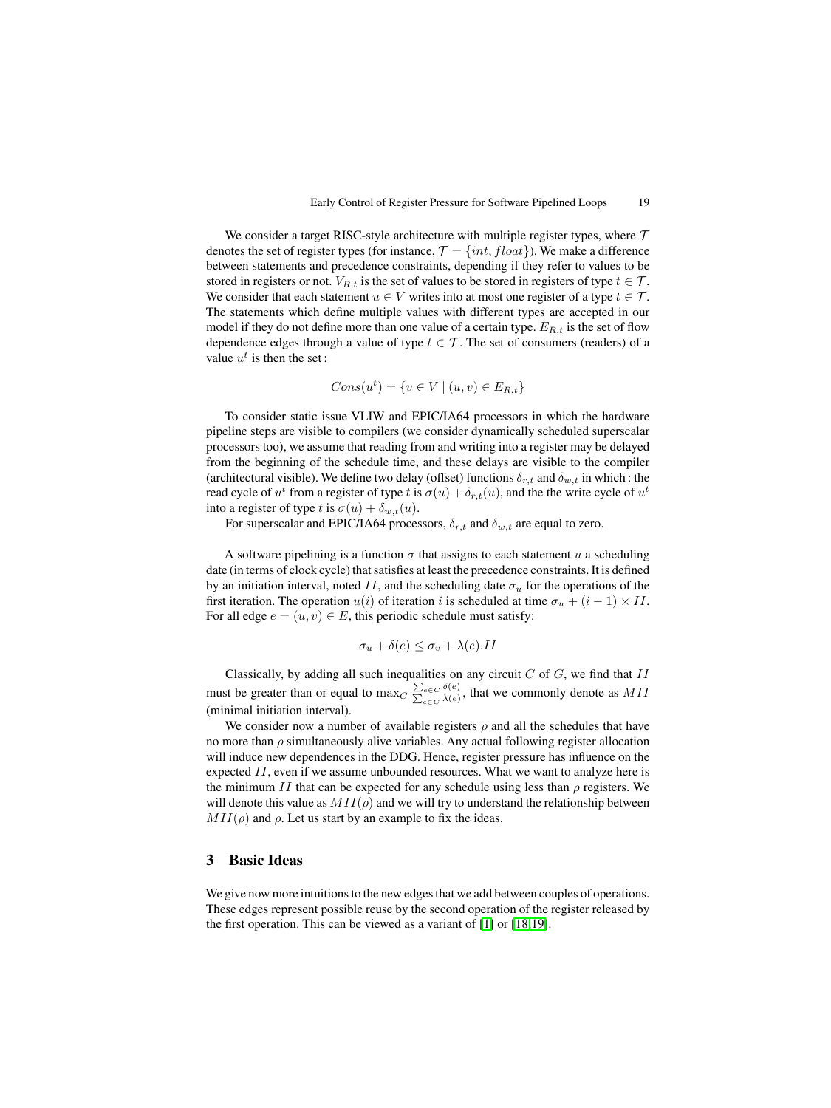<span id="page-2-0"></span>We consider a target RISC-style architecture with multiple register types, where  $\mathcal T$ denotes the set of register types (for instance,  $\mathcal{T} = \{int, float\}$ ). We make a difference between statements and precedence constraints, depending if they refer to values to be stored in registers or not.  $V_{R,t}$  is the set of values to be stored in registers of type  $t \in \mathcal{T}$ . We consider that each statement  $u \in V$  writes into at most one register of a type  $t \in \mathcal{T}$ . The statements which define multiple values with different types are accepted in our model if they do not define more than one value of a certain type.  $E_{R,t}$  is the set of flow dependence edges through a value of type  $t \in \mathcal{T}$ . The set of consumers (readers) of a value  $u^t$  is then the set:

$$
Cons(u^t) = \{v \in V \mid (u, v) \in E_{R,t}\}\
$$

To consider static issue VLIW and EPIC/IA64 processors in which the hardware pipeline steps are visible to compilers (we consider dynamically scheduled superscalar processors too), we assume that reading from and writing into a register may be delayed from the beginning of the schedule time, and these delays are visible to the compiler (architectural visible). We define two delay (offset) functions  $\delta_{r,t}$  and  $\delta_{w,t}$  in which : the read cycle of  $u^t$  from a register of type t is  $\sigma(u) + \delta_{r,t}(u)$ , and the the write cycle of  $u^t$ into a register of type t is  $\sigma(u) + \delta_{w,t}(u)$ .

For superscalar and EPIC/IA64 processors,  $\delta_{r,t}$  and  $\delta_{w,t}$  are equal to zero.

A software pipelining is a function  $\sigma$  that assigns to each statement u a scheduling date (in terms of clock cycle) that satisfies at least the precedence constraints. It is defined by an initiation interval, noted II, and the scheduling date  $\sigma_u$  for the operations of the first iteration. The operation  $u(i)$  of iteration i is scheduled at time  $\sigma_u + (i-1) \times II$ . For all edge  $e = (u, v) \in E$ , this periodic schedule must satisfy:

$$
\sigma_u + \delta(e) \le \sigma_v + \lambda(e).II
$$

Classically, by adding all such inequalities on any circuit  $C$  of  $G$ , we find that  $II$ must be greater than or equal to  $\max_C \frac{\sum_{e \in C} \delta(e)}{\sum_{e \in C} \lambda(e)}$ , that we commonly denote as MII (minimal initiation interval).

We consider now a number of available registers  $\rho$  and all the schedules that have no more than  $\rho$  simultaneously alive variables. Any actual following register allocation will induce new dependences in the DDG. Hence, register pressure has influence on the expected II, even if we assume unbounded resources. What we want to analyze here is the minimum II that can be expected for any schedule using less than  $\rho$  registers. We will denote this value as  $MII(\rho)$  and we will try to understand the relationship between  $MII(\rho)$  and  $\rho$ . Let us start by an example to fix the ideas.

# **3 Basic Ideas**

We give now more intuitions to the new edges that we add between couples of operations. These edges represent possible reuse by the second operation of the register released by the first operation. This can be viewed as a variant of [\[1\]](#page-14-0) or [\[18,19\]](#page-15-0).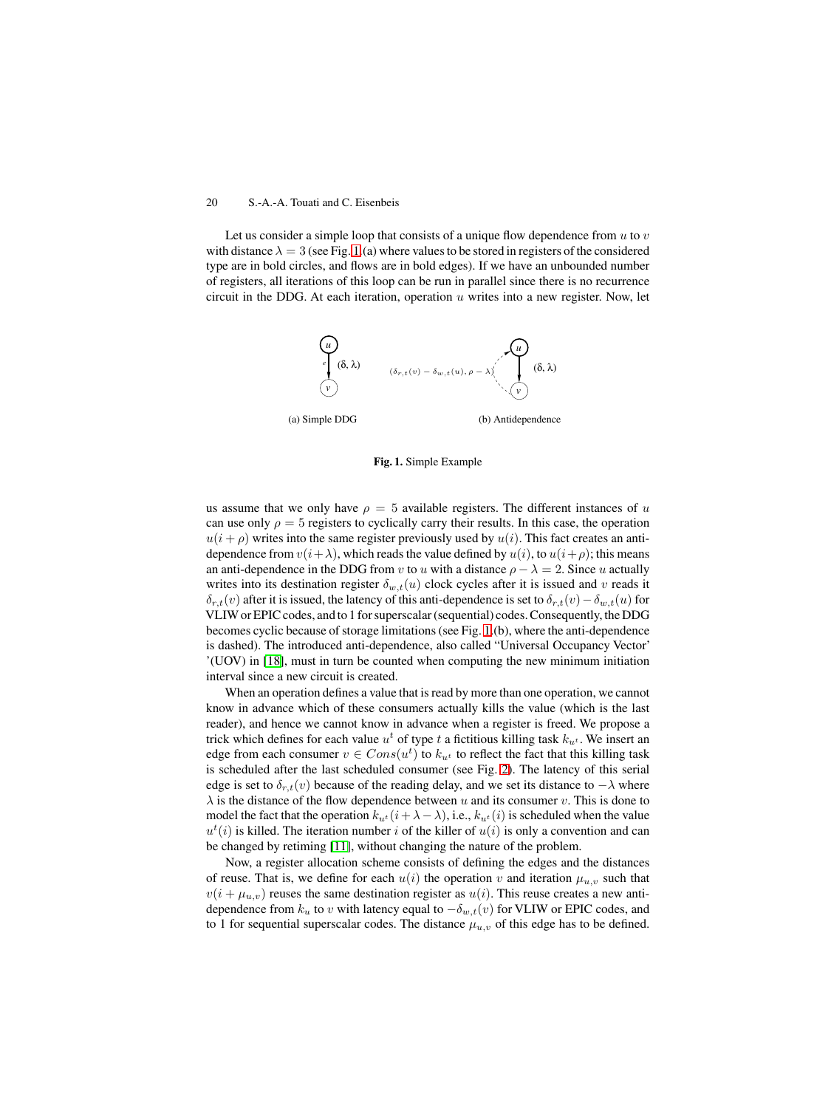Let us consider a simple loop that consists of a unique flow dependence from  $u$  to  $v$ with distance  $\lambda = 3$  (see Fig. 1.(a) where values to be stored in registers of the considered type are in bold circles, and flows are in bold edges). If we have an unbounded number of registers, all iterations of this loop can be run in parallel since there is no recurrence circuit in the DDG. At each iteration, operation  $u$  writes into a new register. Now, let



**Fig. 1.** Simple Example

us assume that we only have  $\rho = 5$  available registers. The different instances of u can use only  $\rho = 5$  registers to cyclically carry their results. In this case, the operation  $u(i + \rho)$  writes into the same register previously used by  $u(i)$ . This fact creates an antidependence from  $v(i+\lambda)$ , which reads the value defined by  $u(i)$ , to  $u(i+\rho)$ ; this means an anti-dependence in the DDG from v to u with a distance  $\rho - \lambda = 2$ . Since u actually writes into its destination register  $\delta_{w,t}(u)$  clock cycles after it is issued and v reads it  $\delta_{r,t}(v)$  after it is issued, the latency of this anti-dependence is set to  $\delta_{r,t}(v)-\delta_{w,t}(u)$  for VLIW or EPIC codes, and to 1 for superscalar (sequential) codes. Consequently, the DDG becomes cyclic because of storage limitations (see Fig. 1.(b), where the anti-dependence is dashed). The introduced anti-dependence, also called "Universal Occupancy Vector' '(UOV) in [\[18\]](#page-15-0), must in turn be counted when computing the new minimum initiation interval since a new circuit is created.

When an operation defines a value that is read by more than one operation, we cannot know in advance which of these consumers actually kills the value (which is the last reader), and hence we cannot know in advance when a register is freed. We propose a trick which defines for each value  $u^t$  of type t a fictitious killing task  $k_{u^t}$ . We insert an edge from each consumer  $v \in Cons(u^t)$  to  $k_{u^t}$  to reflect the fact that this killing task is scheduled after the last scheduled consumer (see Fig. [2\)](#page-4-0). The latency of this serial edge is set to  $\delta_{r,t}(v)$  because of the reading delay, and we set its distance to  $-\lambda$  where  $\lambda$  is the distance of the flow dependence between u and its consumer v. This is done to model the fact that the operation  $k_{u^t}(i+\lambda-\lambda)$ , i.e.,  $k_{u^t}(i)$  is scheduled when the value  $u^t(i)$  is killed. The iteration number i of the killer of  $u(i)$  is only a convention and can be changed by retiming [\[11\]](#page-15-0), without changing the nature of the problem.

Now, a register allocation scheme consists of defining the edges and the distances of reuse. That is, we define for each  $u(i)$  the operation v and iteration  $\mu_{u,v}$  such that  $v(i + \mu_{u,v})$  reuses the same destination register as  $u(i)$ . This reuse creates a new antidependence from  $k_u$  to v with latency equal to  $-\delta_{w,t}(v)$  for VLIW or EPIC codes, and to 1 for sequential superscalar codes. The distance  $\mu_{u,v}$  of this edge has to be defined.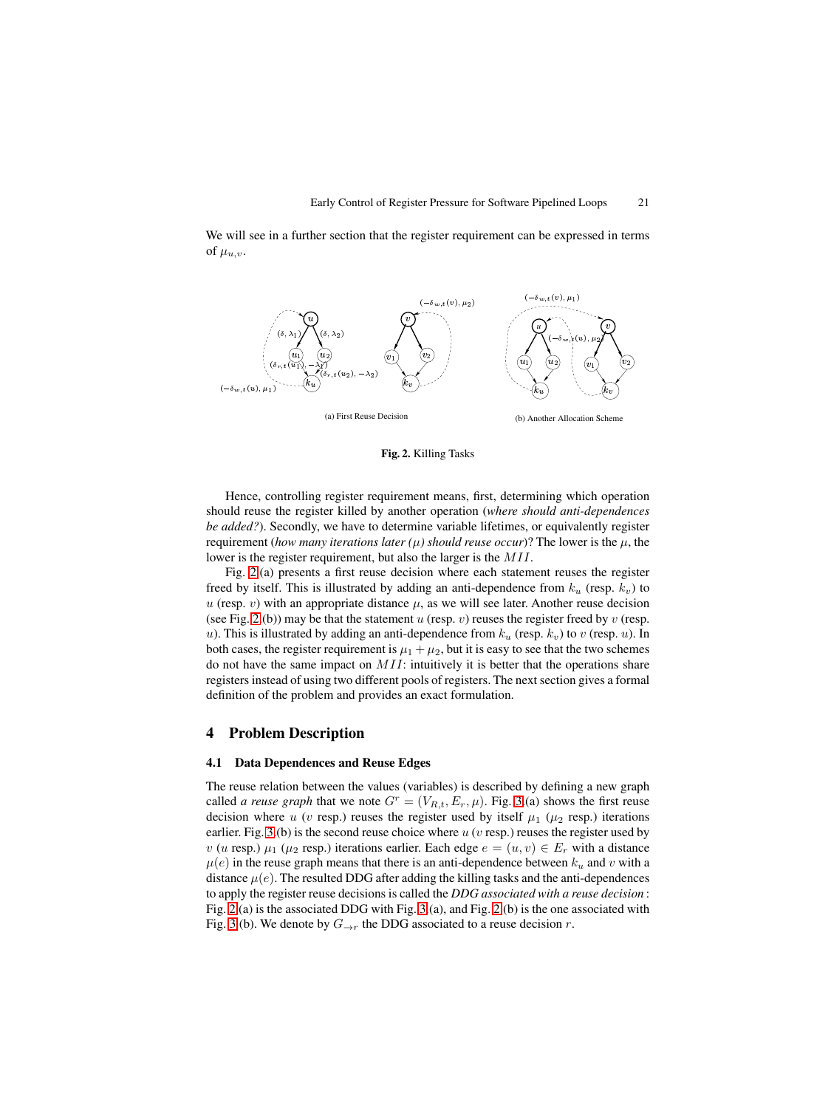<span id="page-4-0"></span>We will see in a further section that the register requirement can be expressed in terms of  $\mu_{u,v}$ .



**Fig. 2.** Killing Tasks

Hence, controlling register requirement means, first, determining which operation should reuse the register killed by another operation (*where should anti-dependences be added?*). Secondly, we have to determine variable lifetimes, or equivalently register requirement (*how many iterations later (* $\mu$ *) should reuse occur*)? The lower is the  $\mu$ , the lower is the register requirement, but also the larger is the MII.

Fig. 2.(a) presents a first reuse decision where each statement reuses the register freed by itself. This is illustrated by adding an anti-dependence from  $k_u$  (resp.  $k_v$ ) to  $u$  (resp.  $v$ ) with an appropriate distance  $\mu$ , as we will see later. Another reuse decision (see Fig. 2.(b)) may be that the statement  $u$  (resp.  $v$ ) reuses the register freed by  $v$  (resp. u). This is illustrated by adding an anti-dependence from  $k_u$  (resp.  $k_v$ ) to v (resp. u). In both cases, the register requirement is  $\mu_1 + \mu_2$ , but it is easy to see that the two schemes do not have the same impact on  $MI$ : intuitively it is better that the operations share registers instead of using two different pools of registers. The next section gives a formal definition of the problem and provides an exact formulation.

# **4 Problem Description**

## **4.1 Data Dependences and Reuse Edges**

The reuse relation between the values (variables) is described by defining a new graph called *a reuse graph* that we note  $G^r = (V_{R,t}, E_r, \mu)$ . Fig. [3.](#page-5-0)(a) shows the first reuse decision where u (v resp.) reuses the register used by itself  $\mu_1$  ( $\mu_2$  resp.) iterations earlier. Fig. [3.](#page-5-0)(b) is the second reuse choice where  $u$  ( $v$  resp.) reuses the register used by v (u resp.)  $\mu_1$  ( $\mu_2$  resp.) iterations earlier. Each edge  $e = (u, v) \in E_r$  with a distance  $\mu(e)$  in the reuse graph means that there is an anti-dependence between  $k_u$  and v with a distance  $\mu(e)$ . The resulted DDG after adding the killing tasks and the anti-dependences to apply the register reuse decisions is called the *DDG associated with a reuse decision* : Fig. 2.(a) is the associated DDG with Fig. [3.](#page-5-0)(a), and Fig. 2.(b) is the one associated with Fig. [3.](#page-5-0)(b). We denote by  $G_{\to r}$  the DDG associated to a reuse decision r.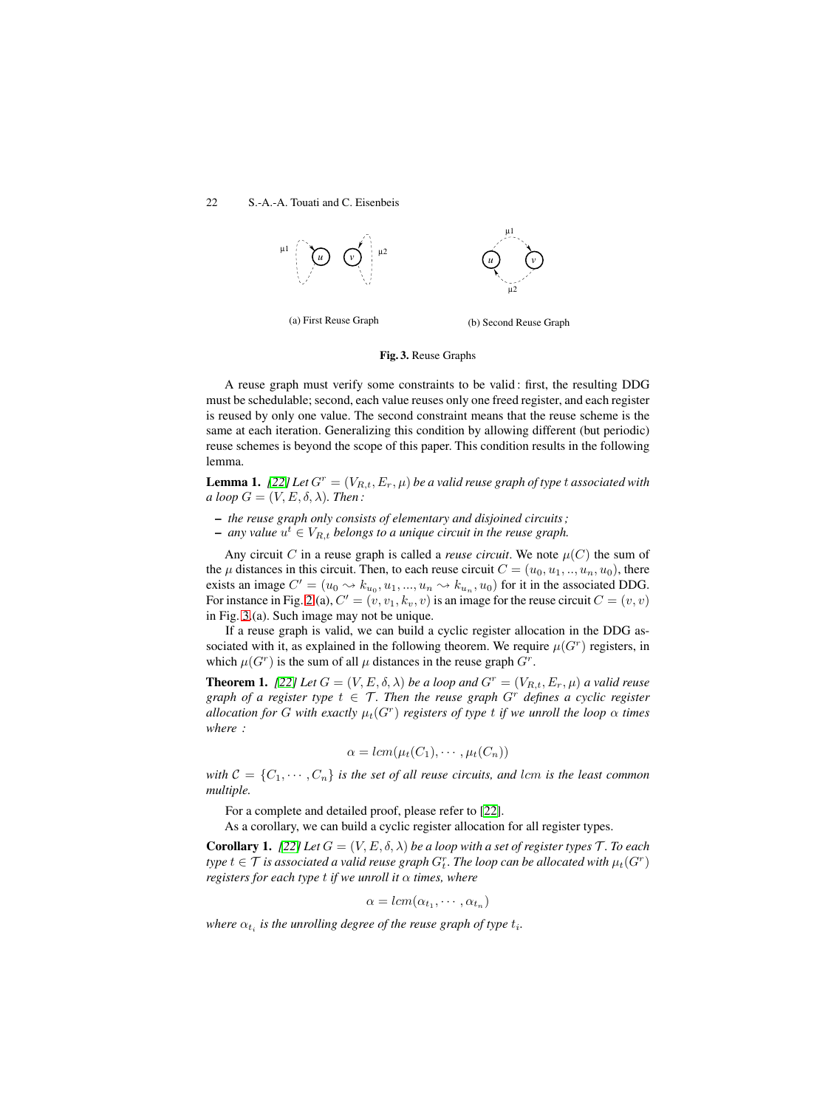

(a) First Reuse Graph (b) Second Reuse Graph

## **Fig. 3.** Reuse Graphs

A reuse graph must verify some constraints to be valid : first, the resulting DDG must be schedulable; second, each value reuses only one freed register, and each register is reused by only one value. The second constraint means that the reuse scheme is the same at each iteration. Generalizing this condition by allowing different (but periodic) reuse schemes is beyond the scope of this paper. This condition results in the following lemma.

**Lemma 1.** [\[22\]](#page-15-0) Let  $G^r = (V_{R,t}, E_r, \mu)$  be a valid reuse graph of type t associated with *a loop*  $G = (V, E, \delta, \lambda)$ *. Then:* 

- **–** *the reuse graph only consists of elementary and disjoined circuits ;*
- **−** *any value*  $u^t$  ∈  $V_{R,t}$  *belongs to a unique circuit in the reuse graph.*

Any circuit C in a reuse graph is called a *reuse circuit*. We note  $\mu(C)$  the sum of the  $\mu$  distances in this circuit. Then, to each reuse circuit  $C = (u_0, u_1, \ldots, u_n, u_0)$ , there exists an image  $C' = (u_0 \leadsto k_{u_0}, u_1, ..., u_n \leadsto k_{u_n}, u_0)$  for it in the associated DDG. For instance in Fig. [2.](#page-4-0)(a),  $C' = (v, v_1, k_v, v)$  is an image for the reuse circuit  $C = (v, v)$ in Fig. 3.(a). Such image may not be unique.

If a reuse graph is valid, we can build a cyclic register allocation in the DDG associated with it, as explained in the following theorem. We require  $\mu(G^r)$  registers, in which  $\mu(G^r)$  is the sum of all  $\mu$  distances in the reuse graph  $G^r$ .

**Theorem 1.** [\[22\]](#page-15-0) Let  $G = (V, E, \delta, \lambda)$  be a loop and  $G^r = (V_{R,t}, E_r, \mu)$  a valid reuse *graph of a register type*  $t \in \mathcal{T}$ *. Then the reuse graph G<sup>r</sup> defines a cyclic register allocation for* G with exactly  $\mu_t(G^r)$  registers of type t if we unroll the loop  $\alpha$  times *where :*

$$
\alpha = lcm(\mu_t(C_1), \cdots, \mu_t(C_n))
$$

*with*  $C = \{C_1, \dots, C_n\}$  *is the set of all reuse circuits, and lcm is the least common multiple.*

For a complete and detailed proof, please refer to [\[22\]](#page-15-0).

As a corollary, we can build a cyclic register allocation for all register types.

**Corollary 1.** [\[22\]](#page-15-0) Let  $G = (V, E, \delta, \lambda)$  be a loop with a set of register types  $\mathcal{T}$ . To each type  $t \in \mathcal{T}$  is associated a valid reuse graph  $G_t^r.$  The loop can be allocated with  $\mu_t(G^r)$ *registers for each type* t *if we unroll it* α *times, where*

$$
\alpha = lcm(\alpha_{t_1}, \cdots, \alpha_{t_n})
$$

*where*  $\alpha_{t_i}$  *is the unrolling degree of the reuse graph of type*  $t_i$ *.* 

<span id="page-5-0"></span>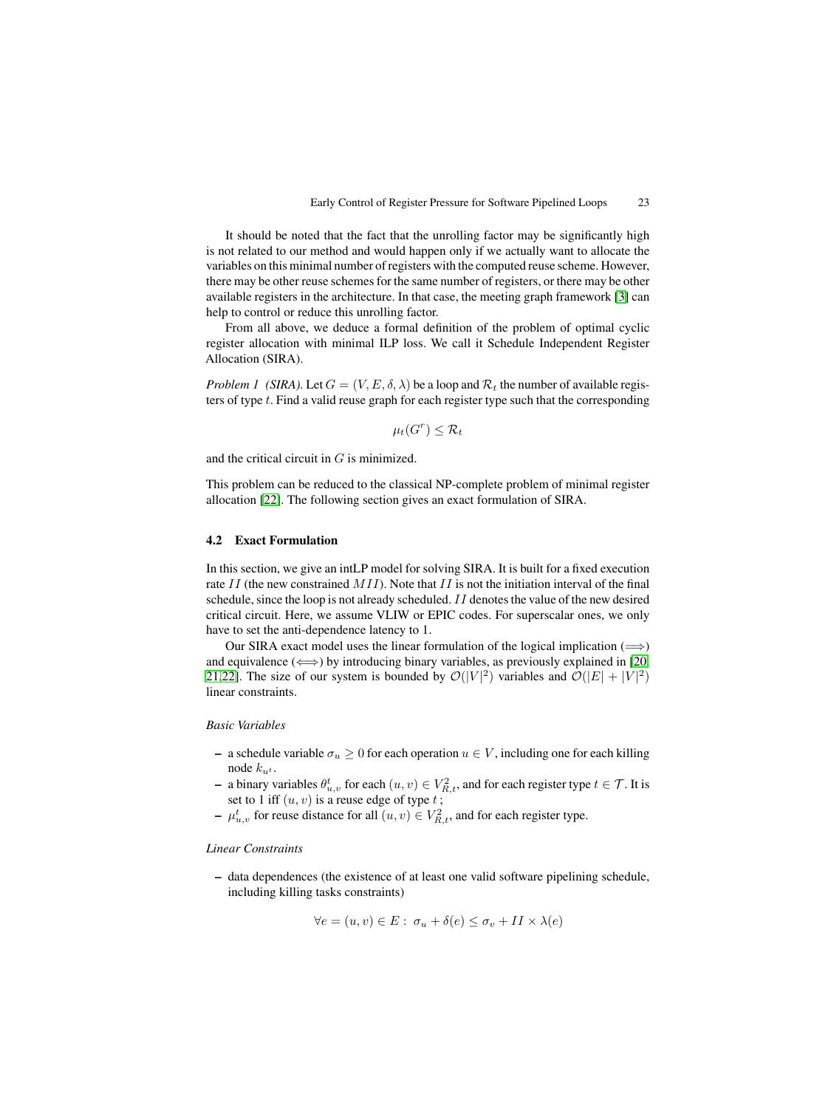It should be noted that the fact that the unrolling factor may be significantly high is not related to our method and would happen only if we actually want to allocate the variables on this minimal number of registers with the computed reuse scheme. However, there may be other reuse schemes for the same number of registers, or there may be other available registers in the architecture. In that case, the meeting graph framework [\[3\]](#page-14-0) can help to control or reduce this unrolling factor.

From all above, we deduce a formal definition of the problem of optimal cyclic register allocation with minimal ILP loss. We call it Schedule Independent Register Allocation (SIRA).

*Problem 1 (SIRA).* Let  $G = (V, E, \delta, \lambda)$  be a loop and  $\mathcal{R}_t$  the number of available registers of type t. Find a valid reuse graph for each register type such that the corresponding

$$
\mu_t(G^r) \leq \mathcal{R}_t
$$

and the critical circuit in G is minimized.

This problem can be reduced to the classical NP-complete problem of minimal register allocation [\[22\]](#page-15-0). The following section gives an exact formulation of SIRA.

#### **4.2 Exact Formulation**

In this section, we give an intLP model for solving SIRA. It is built for a fixed execution rate  $II$  (the new constrained  $MII$ ). Note that  $II$  is not the initiation interval of the final schedule, since the loop is not already scheduled. II denotes the value of the new desired critical circuit. Here, we assume VLIW or EPIC codes. For superscalar ones, we only have to set the anti-dependence latency to 1.

Our SIRA exact model uses the linear formulation of the logical implication  $(\Longrightarrow)$ and equivalence  $(\Longleftrightarrow)$  by introducing binary variables, as previously explained in [\[20,](#page-15-0) [21,22\]](#page-15-0). The size of our system is bounded by  $\mathcal{O}(|V|^2)$  variables and  $\mathcal{O}(|E| + |V|^2)$ linear constraints.

# *Basic Variables*

- **–** a schedule variable  $\sigma_u \geq 0$  for each operation  $u \in V$ , including one for each killing node  $k_{u^t}$ .
- $-$  a binary variables  $\theta_{u,v}^t$  for each  $(u,v) \in V_{R,t}^2$ , and for each register type  $t \in \mathcal{T}$ . It is set to 1 iff  $(u, v)$  is a reuse edge of type t;
- $-\mu_{u,v}^t$  for reuse distance for all  $(u, v) \in V_{R,t}^2$ , and for each register type.

#### *Linear Constraints*

**–** data dependences (the existence of at least one valid software pipelining schedule, including killing tasks constraints)

$$
\forall e = (u, v) \in E: \ \sigma_u + \delta(e) \le \sigma_v + II \times \lambda(e)
$$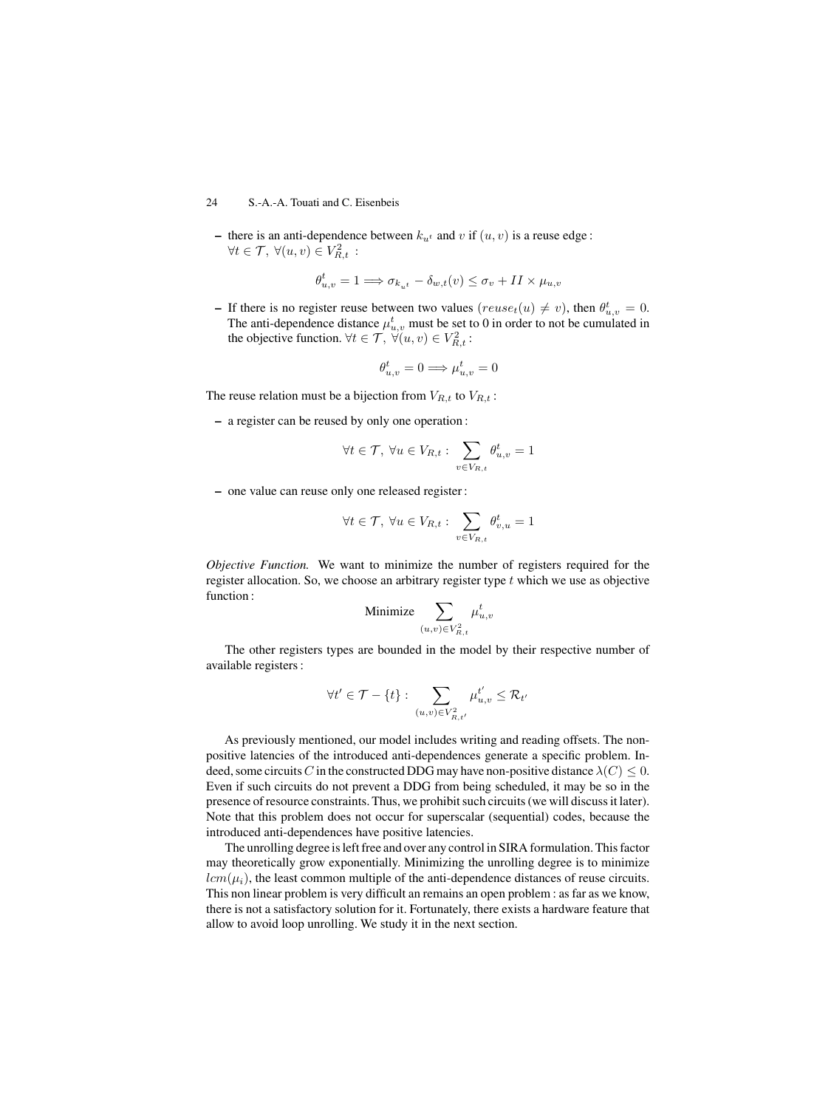**–** there is an anti-dependence between  $k_{u^t}$  and v if  $(u, v)$  is a reuse edge:  $\forall t \in \mathcal{T}, \ \forall (u, v) \in V_{R,t}^2:$ 

$$
\theta_{u,v}^t = 1 \Longrightarrow \sigma_{k_{u^t}} - \delta_{w,t}(v) \le \sigma_v + II \times \mu_{u,v}
$$

**–** If there is no register reuse between two values  $(reuse_t(u) \neq v)$ , then  $\theta_{u,v}^t = 0$ . The anti-dependence distance  $\mu_{u,v}^t$  must be set to 0 in order to not be cumulated in the objective function.  $\forall t \in \mathcal{T}, \forall (u, v) \in V_{R,t}^2$ :

$$
\theta_{u,v}^t = 0 \Longrightarrow \mu_{u,v}^t = 0
$$

The reuse relation must be a bijection from  $V_{R,t}$  to  $V_{R,t}$ :

**–** a register can be reused by only one operation :

$$
\forall t \in \mathcal{T}, \ \forall u \in V_{R,t} : \ \sum_{v \in V_{R,t}} \theta_{u,v}^t = 1
$$

**–** one value can reuse only one released register :

$$
\forall t\in\mathcal{T},\ \forall u\in V_{R,t}:\ \sum_{v\in V_{R,t}}\theta^t_{v,u}=1
$$

*Objective Function.* We want to minimize the number of registers required for the register allocation. So, we choose an arbitrary register type  $t$  which we use as objective function :

Minimize 
$$
\sum_{(u,v)\in V_{R,t}^2} \mu_{u,v}^t
$$

The other registers types are bounded in the model by their respective number of available registers :

$$
\forall t' \in \mathcal{T} - \{t\} : \sum_{(u,v) \in V_{R,t'}^2} \mu_{u,v}^{t'} \leq \mathcal{R}_{t'}
$$

As previously mentioned, our model includes writing and reading offsets. The nonpositive latencies of the introduced anti-dependences generate a specific problem. Indeed, some circuits C in the constructed DDG may have non-positive distance  $\lambda(C) \leq 0$ . Even if such circuits do not prevent a DDG from being scheduled, it may be so in the presence of resource constraints. Thus, we prohibit such circuits (we will discuss it later). Note that this problem does not occur for superscalar (sequential) codes, because the introduced anti-dependences have positive latencies.

The unrolling degree is left free and over any control in SIRA formulation. This factor may theoretically grow exponentially. Minimizing the unrolling degree is to minimize  $lcm(\mu_i)$ , the least common multiple of the anti-dependence distances of reuse circuits. This non linear problem is very difficult an remains an open problem : as far as we know, there is not a satisfactory solution for it. Fortunately, there exists a hardware feature that allow to avoid loop unrolling. We study it in the next section.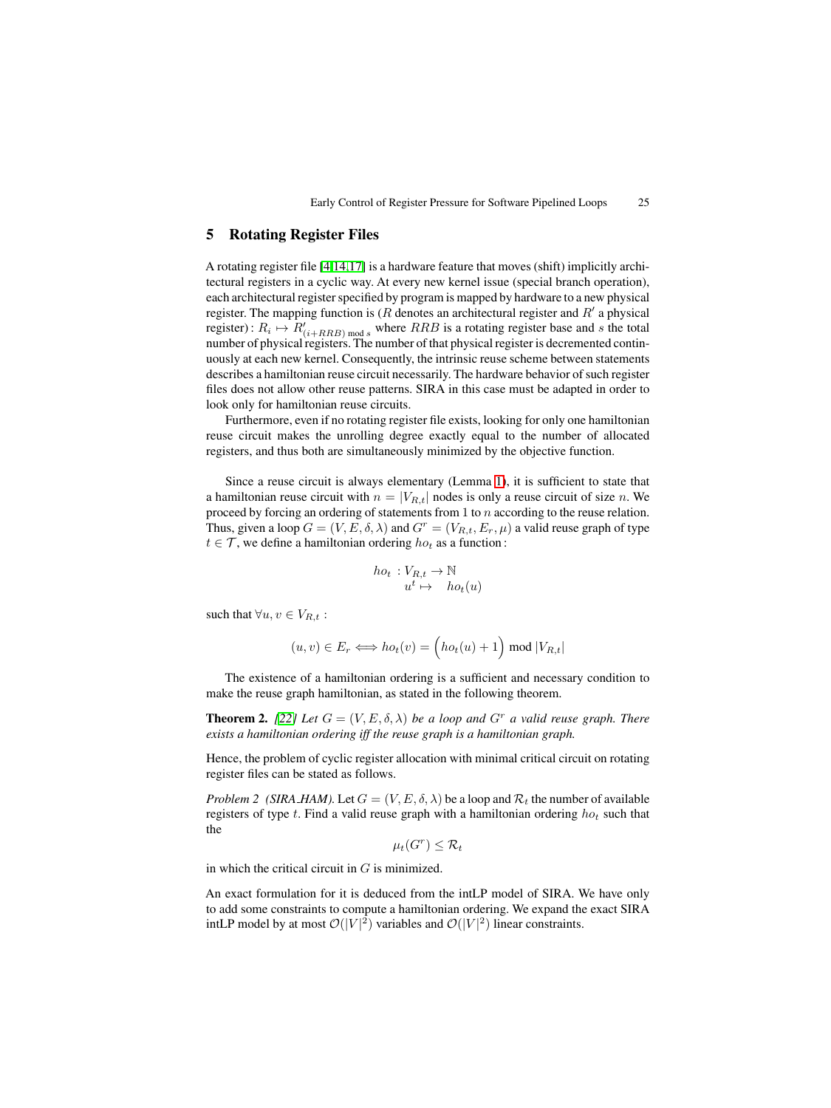# <span id="page-8-0"></span>**5 Rotating Register Files**

A rotating register file [\[4](#page-14-0)[,14,17\]](#page-15-0) is a hardware feature that moves (shift) implicitly architectural registers in a cyclic way. At every new kernel issue (special branch operation), each architectural register specified by program is mapped by hardware to a new physical register. The mapping function is  $(R$  denotes an architectural register and  $R'$  a physical register):  $R_i \mapsto R'_{(i+RRB) \text{ mod } s}$  where  $RRB$  is a rotating register base and s the total number of physical registers. The number of that physical register is decremented continuously at each new kernel. Consequently, the intrinsic reuse scheme between statements describes a hamiltonian reuse circuit necessarily. The hardware behavior of such register files does not allow other reuse patterns. SIRA in this case must be adapted in order to look only for hamiltonian reuse circuits.

Furthermore, even if no rotating register file exists, looking for only one hamiltonian reuse circuit makes the unrolling degree exactly equal to the number of allocated registers, and thus both are simultaneously minimized by the objective function.

Since a reuse circuit is always elementary (Lemma [1\)](#page-5-0), it is sufficient to state that a hamiltonian reuse circuit with  $n = |V_{R,t}|$  nodes is only a reuse circuit of size n. We proceed by forcing an ordering of statements from 1 to n according to the reuse relation. Thus, given a loop  $G = (V, E, \delta, \lambda)$  and  $G<sup>r</sup> = (V<sub>R,t</sub>, E<sub>r</sub>, \mu)$  a valid reuse graph of type  $t \in \mathcal{T}$ , we define a hamiltonian ordering  $ho_t$  as a function:

$$
ho_t: V_{R,t} \to \mathbb{N}
$$
  

$$
u^t \mapsto ho_t(u)
$$

such that  $\forall u, v \in V_{R,t}$ :

$$
(u, v) \in E_r \Longleftrightarrow ho_t(v) = \left(ho_t(u) + 1\right) \text{ mod } |V_{R,t}|
$$

The existence of a hamiltonian ordering is a sufficient and necessary condition to make the reuse graph hamiltonian, as stated in the following theorem.

**Theorem 2.** [\[22\]](#page-15-0) Let  $G = (V, E, \delta, \lambda)$  be a loop and  $G<sup>r</sup>$  a valid reuse graph. There *exists a hamiltonian ordering iff the reuse graph is a hamiltonian graph.*

Hence, the problem of cyclic register allocation with minimal critical circuit on rotating register files can be stated as follows.

*Problem 2 (SIRA HAM).* Let  $G = (V, E, \delta, \lambda)$  be a loop and  $\mathcal{R}_t$  the number of available registers of type  $t$ . Find a valid reuse graph with a hamiltonian ordering  $ho_t$  such that the

 $\mu_t(G^r) \leq \mathcal{R}_t$ 

in which the critical circuit in  $G$  is minimized.

An exact formulation for it is deduced from the intLP model of SIRA. We have only to add some constraints to compute a hamiltonian ordering. We expand the exact SIRA intLP model by at most  $\mathcal{O}(|V|^2)$  variables and  $\mathcal{O}(|V|^2)$  linear constraints.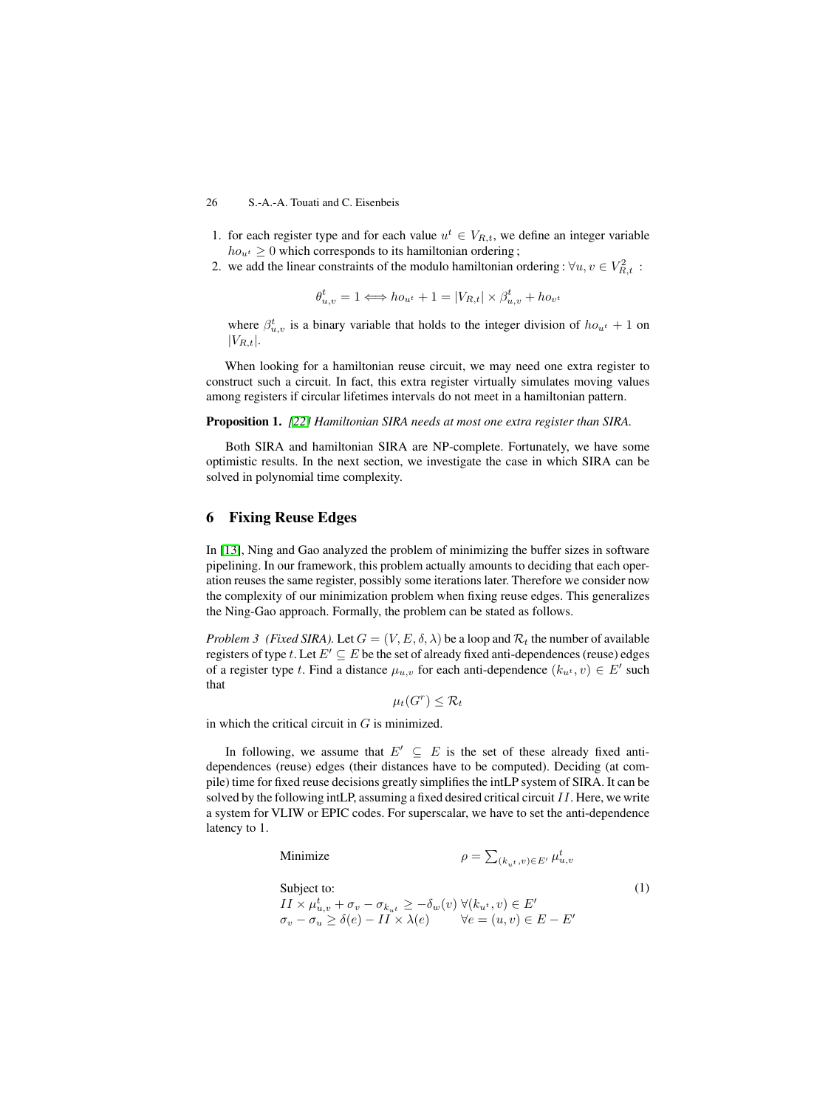- <span id="page-9-0"></span>1. for each register type and for each value  $u^t \in V_{R,t}$ , we define an integer variable  $ho_{u^t} \geq 0$  which corresponds to its hamiltonian ordering;
- 2. we add the linear constraints of the modulo hamiltonian ordering :  $\forall u, v \in V_{R,t}^2$ :

$$
\theta_{u,v}^t = 1 \Longleftrightarrow ho_{u^t} + 1 = |V_{R,t}| \times \beta_{u,v}^t + ho_{v^t}
$$

where  $\beta_{u,v}^t$  is a binary variable that holds to the integer division of  $ho_{u^t} + 1$  on  $|V_{R,t}|$ .

When looking for a hamiltonian reuse circuit, we may need one extra register to construct such a circuit. In fact, this extra register virtually simulates moving values among registers if circular lifetimes intervals do not meet in a hamiltonian pattern.

# **Proposition 1.** *[\[22\]](#page-15-0) Hamiltonian SIRA needs at most one extra register than SIRA.*

Both SIRA and hamiltonian SIRA are NP-complete. Fortunately, we have some optimistic results. In the next section, we investigate the case in which SIRA can be solved in polynomial time complexity.

# **6 Fixing Reuse Edges**

In [\[13\]](#page-15-0), Ning and Gao analyzed the problem of minimizing the buffer sizes in software pipelining. In our framework, this problem actually amounts to deciding that each operation reuses the same register, possibly some iterations later. Therefore we consider now the complexity of our minimization problem when fixing reuse edges. This generalizes the Ning-Gao approach. Formally, the problem can be stated as follows.

*Problem 3 (Fixed SIRA).* Let  $G = (V, E, \delta, \lambda)$  be a loop and  $\mathcal{R}_t$  the number of available registers of type t. Let  $E' \subseteq E$  be the set of already fixed anti-dependences (reuse) edges of a register type t. Find a distance  $\mu_{u,v}$  for each anti-dependence  $(k_{u^t}, v) \in E'$  such that

$$
\mu_t(G^r) \leq \mathcal{R}_t
$$

in which the critical circuit in  $G$  is minimized.

In following, we assume that  $E' \subseteq E$  is the set of these already fixed antidependences (reuse) edges (their distances have to be computed). Deciding (at compile) time for fixed reuse decisions greatly simplifies the intLP system of SIRA. It can be solved by the following intLP, assuming a fixed desired critical circuit II. Here, we write a system for VLIW or EPIC codes. For superscalar, we have to set the anti-dependence latency to 1.

Minimize 
$$
\rho = \sum_{(k_{u^t}, v) \in E'} \mu_{u, v}^t
$$

$$
=\sum_{i} a_i \cdot \sum_{j} u_j^t
$$

Subject to:  $II \times \mu_{u,v}^t + \sigma_v - \sigma_{k_{u}t} \geq -\delta_w(v) \ \forall (k_{u^t}, v) \in E'$  $\sigma_v - \sigma_u \ge \delta(e) - II \times \lambda(e) \qquad \forall e = (u, v) \in E - E'$ (1)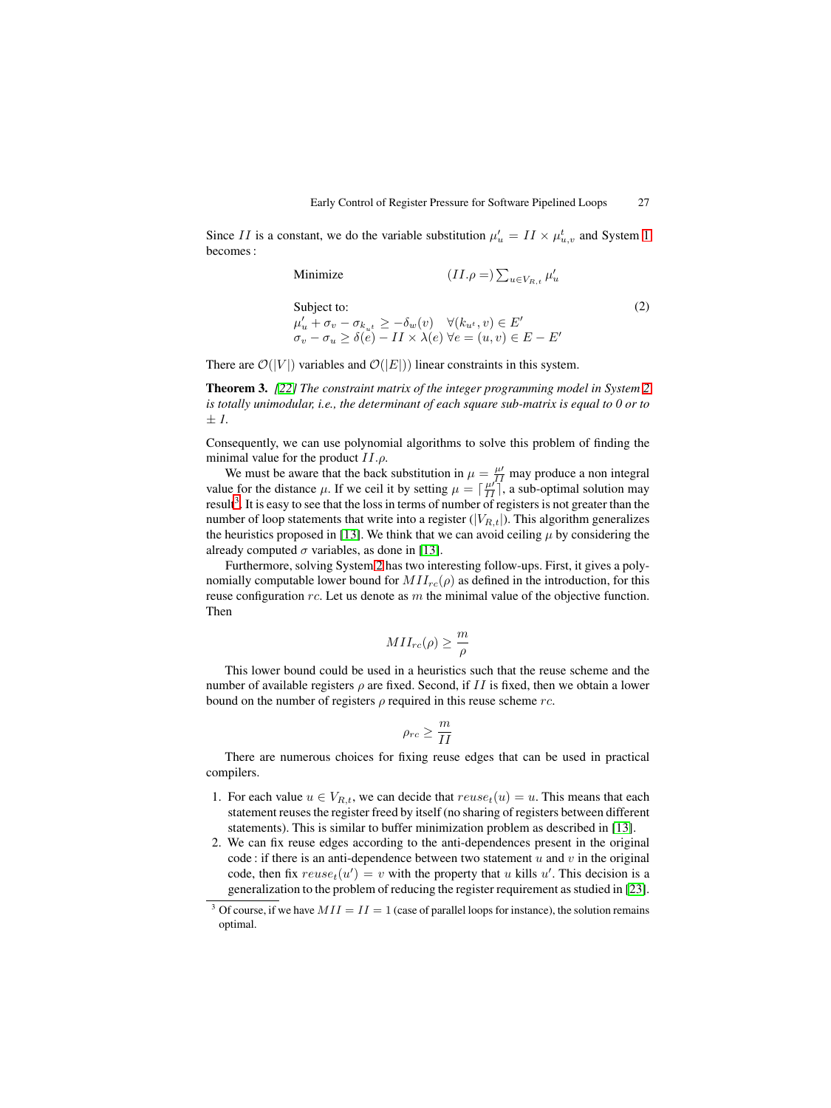<span id="page-10-0"></span>Since II is a constant, we do the variable substitution  $\mu'_u = II \times \mu^t_{u,v}$  and System [1](#page-9-0) becomes :

Minimize 
$$
(II.\rho =) \sum_{u \in V_{R,t}} \mu'_u
$$
  
Subject to:  

$$
\mu'_u + \sigma_v - \sigma_{k_u t} \ge -\delta_w(v) \quad \forall (k_{u^t}, v) \in E'
$$
 (2)

There are  $\mathcal{O}(|V|)$  variables and  $\mathcal{O}(|E|)$ ) linear constraints in this system.

**Theorem 3.** *[\[22\]](#page-15-0) The constraint matrix of the integer programming model in System 2 is totally unimodular, i.e., the determinant of each square sub-matrix is equal to 0 or to*  $\pm$  1.

 $\sigma_v - \sigma_u \ge \delta(e) - II \times \lambda(e) \ \forall e = (u, v) \in E - E'$ 

Consequently, we can use polynomial algorithms to solve this problem of finding the minimal value for the product  $II.\rho$ .

We must be aware that the back substitution in  $\mu = \frac{\mu}{L}$  may produce a non integral value for the distance  $\mu$ . If we ceil it by setting  $\mu = \lceil \frac{\mu'}{II} \rceil$ , a sub-optimal solution may result<sup>3</sup>. It is easy to see that the loss in terms of number of registers is not greater than the number of loop statements that write into a register  $(|V_{R,t}|)$ . This algorithm generalizes the heuristics proposed in [\[13\]](#page-15-0). We think that we can avoid ceiling  $\mu$  by considering the already computed  $\sigma$  variables, as done in [\[13\]](#page-15-0).

Furthermore, solving System 2 has two interesting follow-ups. First, it gives a polynomially computable lower bound for  $MII_{rc}(\rho)$  as defined in the introduction, for this reuse configuration  $rc$ . Let us denote as  $m$  the minimal value of the objective function. Then

$$
MII_{rc}(\rho) \geq \frac{m}{\rho}
$$

This lower bound could be used in a heuristics such that the reuse scheme and the number of available registers  $\rho$  are fixed. Second, if II is fixed, then we obtain a lower bound on the number of registers  $\rho$  required in this reuse scheme rc.

$$
\rho_{rc} \ge \frac{m}{II}
$$

There are numerous choices for fixing reuse edges that can be used in practical compilers.

- 1. For each value  $u \in V_{R,t}$ , we can decide that  $reuse_t(u) = u$ . This means that each statement reuses the register freed by itself (no sharing of registers between different statements). This is similar to buffer minimization problem as described in [\[13\]](#page-15-0).
- 2. We can fix reuse edges according to the anti-dependences present in the original code : if there is an anti-dependence between two statement  $u$  and  $v$  in the original code, then fix  $reuse_t(u') = v$  with the property that u kills u'. This decision is a generalization to the problem of reducing the register requirement as studied in [\[23\]](#page-15-0).

<sup>&</sup>lt;sup>3</sup> Of course, if we have  $MII = II = 1$  (case of parallel loops for instance), the solution remains optimal.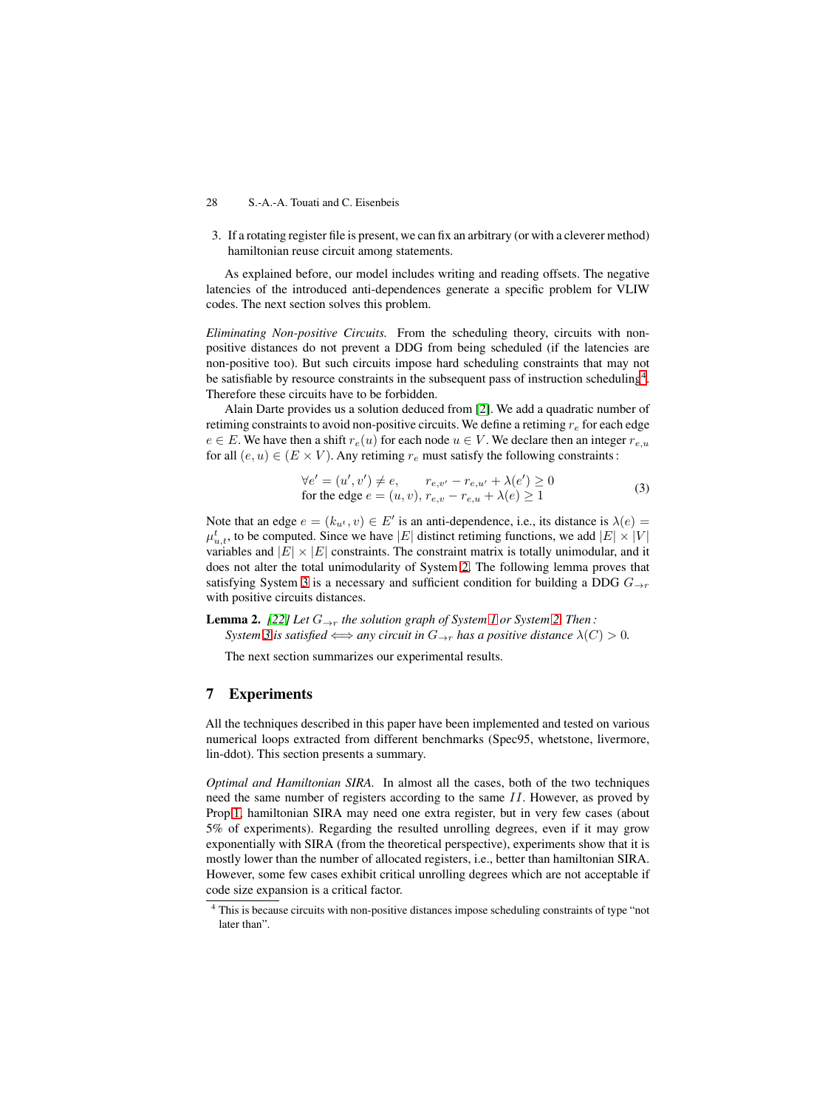<span id="page-11-0"></span>3. If a rotating register file is present, we can fix an arbitrary (or with a cleverer method) hamiltonian reuse circuit among statements.

As explained before, our model includes writing and reading offsets. The negative latencies of the introduced anti-dependences generate a specific problem for VLIW codes. The next section solves this problem.

*Eliminating Non-positive Circuits.* From the scheduling theory, circuits with nonpositive distances do not prevent a DDG from being scheduled (if the latencies are non-positive too). But such circuits impose hard scheduling constraints that may not be satisfiable by resource constraints in the subsequent pass of instruction scheduling<sup>4</sup>. Therefore these circuits have to be forbidden.

Alain Darte provides us a solution deduced from [\[2\]](#page-14-0). We add a quadratic number of retiming constraints to avoid non-positive circuits. We define a retiming  $r_e$  for each edge  $e \in E$ . We have then a shift  $r_e(u)$  for each node  $u \in V$ . We declare then an integer  $r_{e,u}$ for all  $(e, u) \in (E \times V)$ . Any retiming  $r_e$  must satisfy the following constraints:

$$
\forall e' = (u', v') \neq e, \qquad r_{e,v'} - r_{e,u'} + \lambda(e') \geq 0
$$
  
for the edge  $e = (u, v), r_{e,v} - r_{e,u} + \lambda(e) \geq 1$  (3)

Note that an edge  $e = (k_{u^t}, v) \in E'$  is an anti-dependence, i.e., its distance is  $\lambda(e)$  $\mu_{u,t}^t$ , to be computed. Since we have  $|E|$  distinct retiming functions, we add  $|E| \times |V|$ variables and  $|E| \times |E|$  constraints. The constraint matrix is totally unimodular, and it does not alter the total unimodularity of System [2.](#page-10-0) The following lemma proves that satisfying System 3 is a necessary and sufficient condition for building a DDG  $G_{\rightarrow r}$ with positive circuits distances.

**Lemma [2.](#page-10-0)**  $[22]$  Let  $G_{\rightarrow r}$  the solution graph of System [1](#page-9-0) or System 2. Then:

*System 3 is satisfied*  $\Longleftrightarrow$  *any circuit in*  $G_{\rightarrow r}$  *has a positive distance*  $\lambda(C) > 0$ *.* 

The next section summarizes our experimental results.

# **7 Experiments**

All the techniques described in this paper have been implemented and tested on various numerical loops extracted from different benchmarks (Spec95, whetstone, livermore, lin-ddot). This section presents a summary.

*Optimal and Hamiltonian SIRA.* In almost all the cases, both of the two techniques need the same number of registers according to the same II. However, as proved by Prop[.1,](#page-9-0) hamiltonian SIRA may need one extra register, but in very few cases (about 5% of experiments). Regarding the resulted unrolling degrees, even if it may grow exponentially with SIRA (from the theoretical perspective), experiments show that it is mostly lower than the number of allocated registers, i.e., better than hamiltonian SIRA. However, some few cases exhibit critical unrolling degrees which are not acceptable if code size expansion is a critical factor.

<sup>4</sup> This is because circuits with non-positive distances impose scheduling constraints of type "not later than".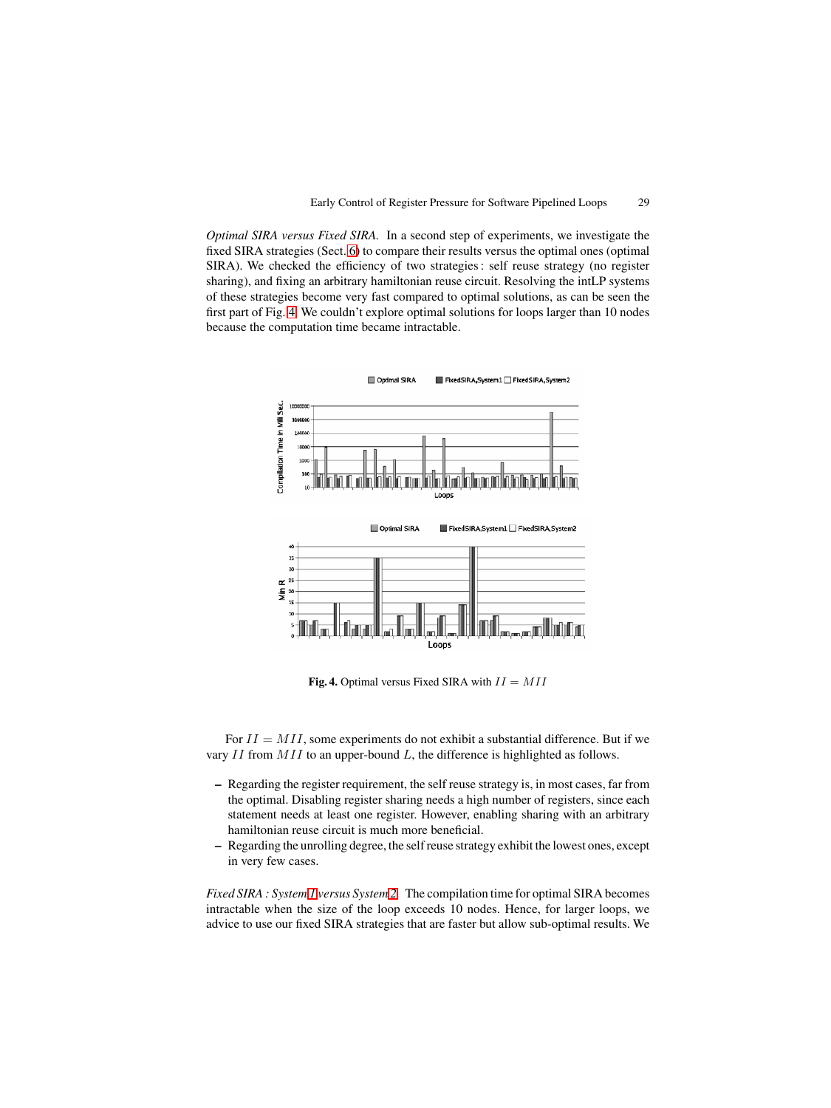*Optimal SIRA versus Fixed SIRA.* In a second step of experiments, we investigate the fixed SIRA strategies (Sect. [6\)](#page-9-0) to compare their results versus the optimal ones (optimal SIRA). We checked the efficiency of two strategies : self reuse strategy (no register sharing), and fixing an arbitrary hamiltonian reuse circuit. Resolving the intLP systems of these strategies become very fast compared to optimal solutions, as can be seen the first part of Fig. 4. We couldn't explore optimal solutions for loops larger than 10 nodes because the computation time became intractable.



**Fig. 4.** Optimal versus Fixed SIRA with  $II = MII$ 

For  $II = MII$ , some experiments do not exhibit a substantial difference. But if we vary II from MII to an upper-bound L, the difference is highlighted as follows.

- **–** Regarding the register requirement, the self reuse strategy is, in most cases, far from the optimal. Disabling register sharing needs a high number of registers, since each statement needs at least one register. However, enabling sharing with an arbitrary hamiltonian reuse circuit is much more beneficial.
- **–** Regarding the unrolling degree, the self reuse strategy exhibit the lowest ones, except in very few cases.

*Fixed SIRA : System [1](#page-9-0) versus System [2.](#page-10-0)* The compilation time for optimal SIRA becomes intractable when the size of the loop exceeds 10 nodes. Hence, for larger loops, we advice to use our fixed SIRA strategies that are faster but allow sub-optimal results. We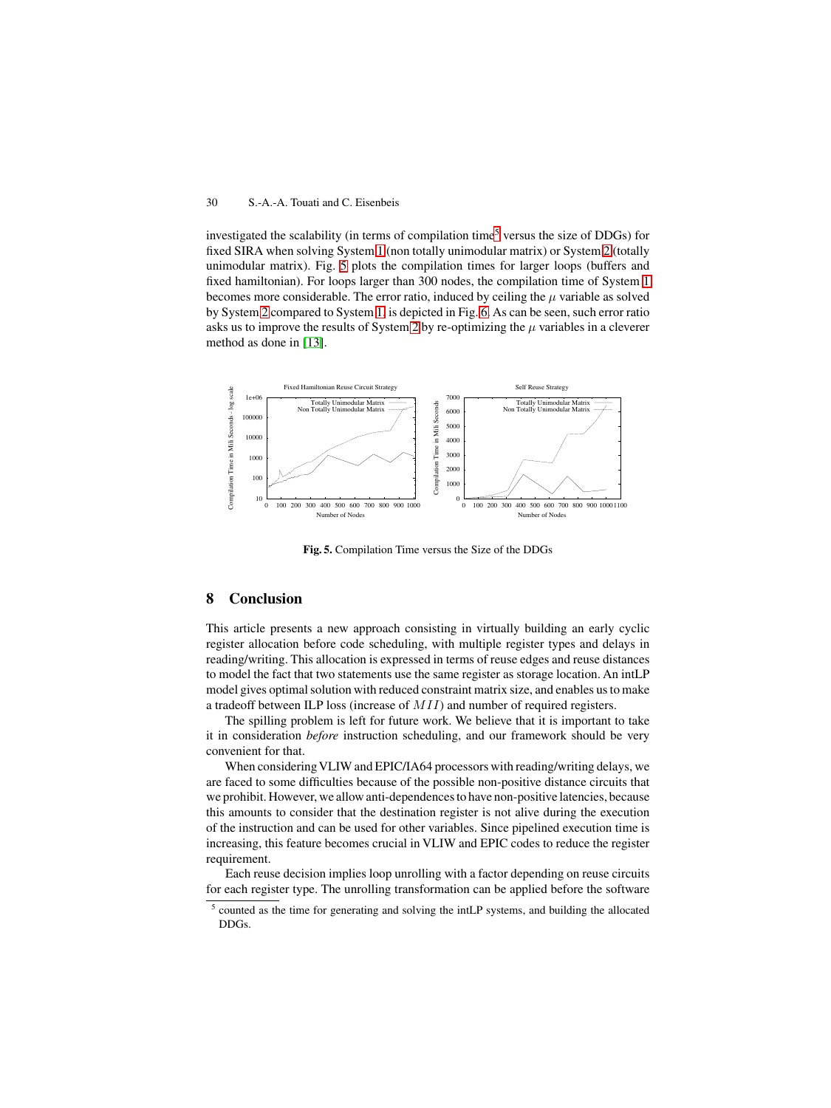investigated the scalability (in terms of compilation time<sup>5</sup> versus the size of DDGs) for fixed SIRA when solving System [1](#page-9-0) (non totally unimodular matrix) or System [2](#page-10-0) (totally unimodular matrix). Fig. 5 plots the compilation times for larger loops (buffers and fixed hamiltonian). For loops larger than 300 nodes, the compilation time of System [1](#page-9-0) becomes more considerable. The error ratio, induced by ceiling the  $\mu$  variable as solved by System [2](#page-10-0) compared to System [1,](#page-9-0) is depicted in Fig. [6.](#page-14-0) As can be seen, such error ratio asks us to improve the results of System [2](#page-10-0) by re-optimizing the  $\mu$  variables in a cleverer method as done in [\[13\]](#page-15-0).



**Fig. 5.** Compilation Time versus the Size of the DDGs

# **8 Conclusion**

This article presents a new approach consisting in virtually building an early cyclic register allocation before code scheduling, with multiple register types and delays in reading/writing. This allocation is expressed in terms of reuse edges and reuse distances to model the fact that two statements use the same register as storage location. An intLP model gives optimal solution with reduced constraint matrix size, and enables us to make a tradeoff between ILP loss (increase of MII) and number of required registers.

The spilling problem is left for future work. We believe that it is important to take it in consideration *before* instruction scheduling, and our framework should be very convenient for that.

When considering VLIW and EPIC/IA64 processors with reading/writing delays, we are faced to some difficulties because of the possible non-positive distance circuits that we prohibit. However, we allow anti-dependences to have non-positive latencies, because this amounts to consider that the destination register is not alive during the execution of the instruction and can be used for other variables. Since pipelined execution time is increasing, this feature becomes crucial in VLIW and EPIC codes to reduce the register requirement.

Each reuse decision implies loop unrolling with a factor depending on reuse circuits for each register type. The unrolling transformation can be applied before the software

<sup>5</sup> counted as the time for generating and solving the intLP systems, and building the allocated DDGs.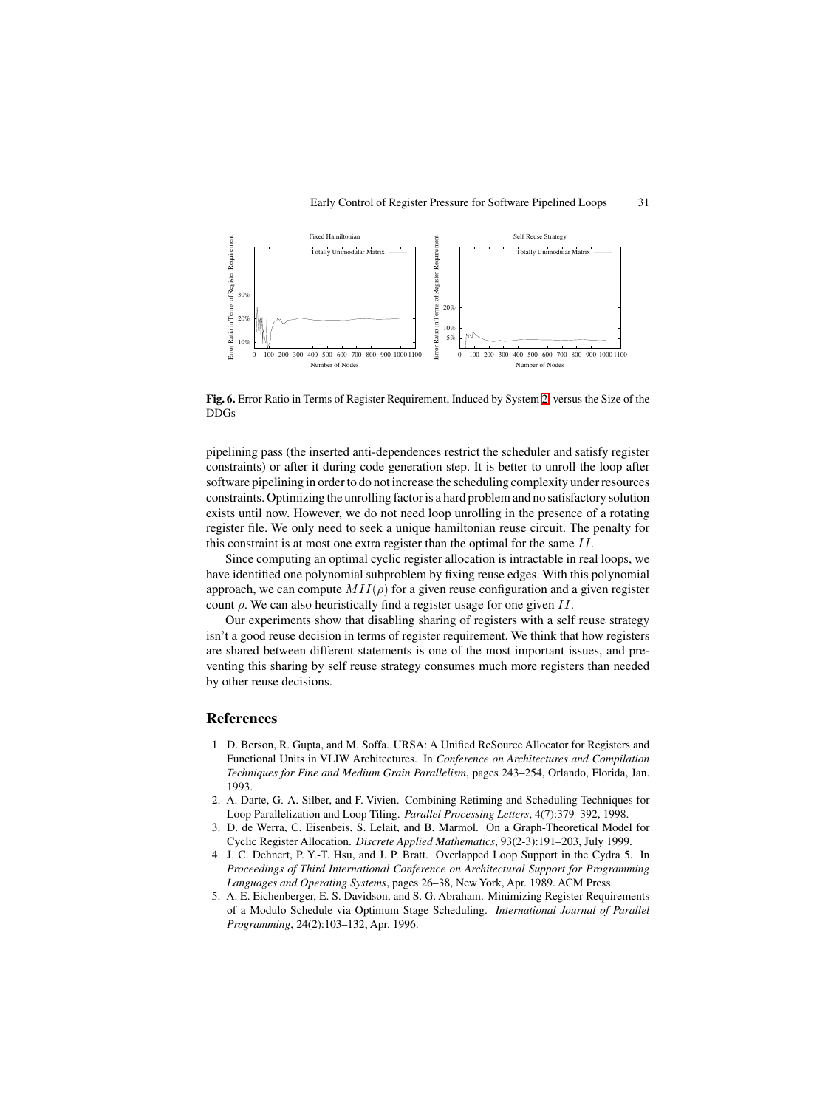#### Early Control of Register Pressure for Software Pipelined Loops 31

<span id="page-14-0"></span>

**Fig. 6.** Error Ratio in Terms of Register Requirement, Induced by System [2,](#page-10-0) versus the Size of the DDGs

pipelining pass (the inserted anti-dependences restrict the scheduler and satisfy register constraints) or after it during code generation step. It is better to unroll the loop after software pipelining in order to do not increase the scheduling complexity under resources constraints. Optimizing the unrolling factor is a hard problem and no satisfactory solution exists until now. However, we do not need loop unrolling in the presence of a rotating register file. We only need to seek a unique hamiltonian reuse circuit. The penalty for this constraint is at most one extra register than the optimal for the same II.

Since computing an optimal cyclic register allocation is intractable in real loops, we have identified one polynomial subproblem by fixing reuse edges. With this polynomial approach, we can compute  $MI(\rho)$  for a given reuse configuration and a given register count  $\rho$ . We can also heuristically find a register usage for one given II.

Our experiments show that disabling sharing of registers with a self reuse strategy isn't a good reuse decision in terms of register requirement. We think that how registers are shared between different statements is one of the most important issues, and preventing this sharing by self reuse strategy consumes much more registers than needed by other reuse decisions.

# **References**

- 1. D. Berson, R. Gupta, and M. Soffa. URSA: A Unified ReSource Allocator for Registers and Functional Units in VLIW Architectures. In *Conference on Architectures and Compilation Techniques for Fine and Medium Grain Parallelism*, pages 243–254, Orlando, Florida, Jan. 1993.
- 2. A. Darte, G.-A. Silber, and F. Vivien. Combining Retiming and Scheduling Techniques for Loop Parallelization and Loop Tiling. *Parallel Processing Letters*, 4(7):379–392, 1998.
- 3. D. de Werra, C. Eisenbeis, S. Lelait, and B. Marmol. On a Graph-Theoretical Model for Cyclic Register Allocation. *Discrete Applied Mathematics*, 93(2-3):191–203, July 1999.
- 4. J. C. Dehnert, P. Y.-T. Hsu, and J. P. Bratt. Overlapped Loop Support in the Cydra 5. In *Proceedings of Third International Conference on Architectural Support for Programming Languages and Operating Systems*, pages 26–38, New York, Apr. 1989. ACM Press.
- 5. A. E. Eichenberger, E. S. Davidson, and S. G. Abraham. Minimizing Register Requirements of a Modulo Schedule via Optimum Stage Scheduling. *International Journal of Parallel Programming*, 24(2):103–132, Apr. 1996.